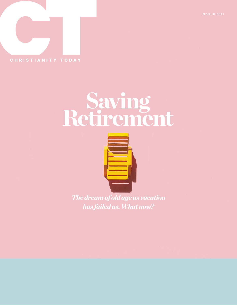

## Saving Retirement



*The dream of old age as vacation has failed us. What now?*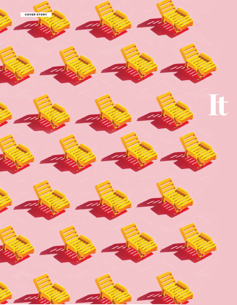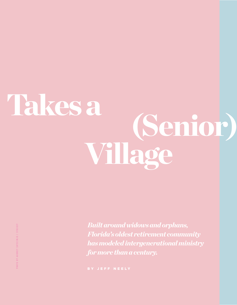# Takes a (Senior) Village

*Built around widows and orphans, Florida's oldest retirement community has modeled intergenerational ministry for more than a century.*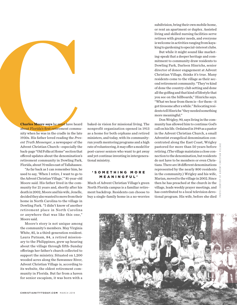**Charles Moore says** he must have heard about Florida's first retirement community when he was in the cradle in the late 1930s. His father loved reading the *Present Truth Messenger*, a newspaper of the Advent Christian Church—especially the back-page "Old Folks at Home" section that offered updates about the denomination's retirement community in Dowling Park, Florida, about 70 miles east of Tallahassee.

"As far back as I can remember him, he used to say, 'When I retire, I want to go to the Advent Christian Village,' " 81-year-old Moore said. His father lived in the community for 21 years and, shortly after his death in 2002, Moore and his wife, Jenelle, decided they also wanted to move from their home in North Carolina to the village in Dowling Park. "I didn't know of another retirement place in North Carolina or anywhere that was like this one," Moore said.

Moore's story is not unique among the community's members. May Virginia White, 85, is a third-generation resident. Laura Putnam, 84, a retired missionary to the Philippines, grew up hearing about the village through fifth-Sunday offerings her father's church collected to support the ministry. Situated on 1,200 wooded acres along the Suwannee River, Advent Christian Village is, according to its website, the oldest retirement community in Florida. But far from a haven for senior escapism, it was born with a

**CHRISTIANITYTODAY.COM** MARCH 2019

baked-in vision for missional living. The nonprofit organization opened in 1913 as a home for both orphans and retired ministers, and today, with its communityrun youth mentoring programs and a high rate of volunteering, it may offer a model for post-career seniors who want to get away and yet continue investing in intergenerational ministry.

### ' S O M E T H I N G M O R E MEANINGFUL'

Much of Advent Christian Village's green North Florida campus is a familiar retirement backdrop. Residents can choose to buy a single-family home in a no-worries

subdivision, bring their own mobile home, or rent an apartment or duplex. Assisted living and skilled nursing facilities serve retirees with greater needs, and everyone is welcome in activities ranging from kayaking to gardening to special-interest clubs.

But while it might sound like marketing-speak that a deeper heritage and commitment to community draw residents to Dowling Park, Darleen Hinrichs, senior director of donor engagement at Advent Christian Village, thinks it's true. Many residents come to the village as their second retirement community. "They've kind of done the country-club setting and done all the golfing and that kind of lifestyle that you see on the billboards," Hinrichs says. "What we hear from them is—for them—it got tiresome after a while." Relocating residents tell Hinrichs "they needed something more meaningful."

Don Wrigley, 90, says living in the community has allowed him to continue God's call on his life. Ordained in 1949 as a pastor in the Advent Christian Church, a small Adventist evangelical denomination concentrated along the East Coast, Wrigley pastored for more than 50 years before retiring. (The village maintains a close connection to the denomination, but residents do not have to be members or even Christians. There are 18 different denominations represented by the nearly 800 residents in the community.) Wrigley and his wife, Marian, moved to the village in 2002. Since then he has preached at the church in the village, leads weekly prayer meetings, and has contributed to a local television devotional program. His wife, before she died

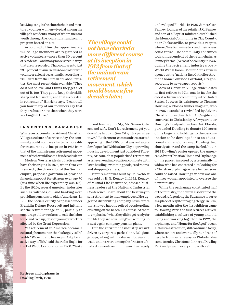last May, sang in the church choir and mentored younger women—typical among the village's residents, many of whom mentor youth through the local church and a camp program hosted on site.

According to Hinrichs, approximately 250 village members are registered as active volunteers—more than 30 percent of residents—and many more serve in ways that aren't recorded. That compares to just 23.5 percent of Americans 65 and older who volunteer at least occasionally, according to 2015 data from the Bureau of Labor Statistics, the most recent data available. "They do it out of love, and I think they get a lot out of it, too. They get to keep their skills sharp and feel useful, and that's a big deal in retirement," Hinrichs says. "I can't tell you how many of our members say that they are busier now than when they were working full time."

## INVENTING PARADISE

Whatever accounts for Advent Christian Village's culture of service today, the community could not have charted a more different course at its inception in 1913 from that of the mainstream retirement movement, which would boom a few decades later.

Modern Western ideals of retirement have their origins in 1875, when Otto von Bismarck, the chancellor of the German empire, proposed government-provided financial support for citizens over age 70 (at a time when life expectancy was 46!). By the 1920s, several American industries such as railroads, oil, and banking were providing pensions to older Americans. In 1935 the Social Security Act passed under Franklin Delano Roosevelt and initially set the retirement age at 65, partially to encourage older workers to exit the labor force and free up jobs for younger workers affected by the Great Depression.

Yet retirement in America became a cultural phenomenon thanks largely to Del Webb. "Wake up and live in Sun City for an active way of life," said the radio jingle for the Del Webb Corporation in 1960. "Wake

*The village could not have charted a more different course at its inception in 1913 from that of the mainstream retirement movement, which would boom a few decades later.*

up and live in Sun City, Mr. Senior Citizen and wife. Don't let retirement get you down! Be happy in Sun City; it's a paradise town." Retirement communities started appearing in the 1920s, but it was real estate developer Del Webb's Sun City, a sprawling housing development just outside of Phoenix, Arizona, that popularized retirement as a never-ending vacation, complete with lawn bowling, swimming pools, card rooms, and shopping centers.

If retirement was built by Del Webb, it was sold by H. G. Kenagy. In 1952, Kenagy, of Mutual Life Insurance, advised business leaders at the National Industrial Conference Board about the best way to sell retirement to their employees. He suggested distributing company newsletters that showed happily retired people golfing or sitting on the beach. He counseled them to emphasize "what they did to get ready for the life they are now living"—like piling up a nest egg in company pension plans.

But the retirement industry wasn't driven by corporate perks alone. Religious groups, along with fraternal lodges and trade unions, were among the first to establish retirement communities in then largely undeveloped Florida. In 1926, James Cash Penney, founder of the retailer J. C. Penney and son of a Baptist minister, established the Memorial Community in Clay County, near Jacksonville, to provide a respite where Christian ministers and their wives could retire. The community continues today, independent of the retail chain, as Penney Farms. (Across the country in 1965, during the retirement industry's post– World War II boom, Mount Acres Towers opened as the "nation's first Catholic retirement home" outside Portland, Oregon, according to newspaper reports.)

Advent Christian Village, which dates its first retirees to 1914, may in fact be the oldest retirement community in the United States. It owes its existence to Thomas Dowling, a Florida timber magnate, who in 1905 attended a revival led by Advent Christian preacher John A. Cargile and converted to Christianity. A few years later Dowling's local pastor in Live Oak, Florida, persuaded Dowling to donate 120 acres of his large land holdings to the denomination to be developed into an educational and religious camp. Dowling died shortly after and the camp fizzled, but in 1913 Dowling's pastor opened the American Advent Christian Home and Orphanage on the parcel, inspired by a terminally ill widow who had contacted him looking for a Christian orphanage where her two sons could be raised. Dowling's widow was one of three women appointed to oversee the new ministry.

While the orphanage constituted half of the ministry, the church also wanted the wooded refuge along the Suwannee to serve as a place of respite for aging clergy. In 1914, a few months after the first children came to Dowling Park, the first retirees arrived, establishing a culture of young and old living and working together. In 1922, the orphanage and "Home for the Aged" began a Christmas tradition, still continued today, where seniors and eventually hundreds of people from as far away as Philadelphia came to enjoy Christmas dinner at Dowling Park and present every child with a gift. In

**Retirees and orphans in Dowling Park, 1916**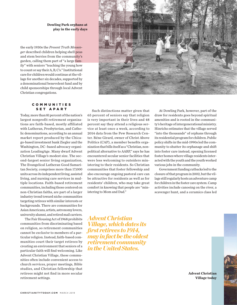### **Dowling Park orphans at play in the early days**

the early 1930s the *Present Truth Messenger* described children helping shell peas and stem berries from the community's garden, calling them part of "a large family" with seniors "teaching the young how to count or say their A, B, C's." Institutional care for children would continue at the village for another six decades, supported by a denominational benevolent fund and by child sponsorships through local Advent Christian congregations.

### C O M M U N I T I E S SET APART

Today, more than 81 percent of the nation's largest nonprofit retirement organizations are faith-based, mostly affiliated with Lutheran, Presbyterian, and Catholic denominations, according to an annual market report produced by the Chicago-based investment bank Ziegler and the Washington, DC–based advocacy organization LeadingAge. Many dwarf Advent Christian Village's modest size. The second-largest senior living organization, The Evangelical Lutheran Good Samaritan Society, comprises more than 17,000 units across its independent living, assisted living, and nursing care services in multiple locations. Faith-based retirement communities, including those centered on non-Christian faiths, are part of a larger industry trend toward niche communities targeting retirees with similar interests or backgrounds. There are communities for Asian Americans, artists, astronomy lovers, university alumni, and retired mail carriers.

The Fair Housing Act of 1968 prohibits communities from discriminating based on religion, so retirement communities cannot be *exclusive* to members of a particular religion. Instead, faith-based communities court their target retirees by creating an environment that seniors of a particular faith will find welcoming. Like Advent Christian Village, these communities often include convenient access to church services, prayer meetings, Bible studies, and Christian fellowship that retirees might not find in more secular retirement settings.

Such distinctions matter given that 65 percent of seniors say that religion is very important in their lives and 48 percent say they attend a religious service at least once a week, according to 2014 data from the Pew Research Center. Réne Girard, owner of Christ Above Politics (CAP), a member benefits organization that bills itself as a "Christian, nonpolitical alternative to AARP," says he has encountered secular senior facilities that were less welcoming to outsiders ministering to their residents. So Christian communities that foster fellowship and also encourage ongoing pastoral care can be attractive for residents as well as for residents' children, who may take great comfort in knowing that people are "ministering to Mom and Dad."

At Dowling Park, however, part of the draw for residents goes beyond spiritual amenities and is rooted in the community's heritage of intergenerational ministry. Hinrichs estimates that the village served "into the thousands" of orphans through its residential program for children. Public policy shifts in the mid-1990s led the community to shutter its orphanage and shift into foster care instead, opening licensed foster homes where village residents interacted with the youth and the youth worked various jobs in the community.

Government funding cutbacks led to the closure of that program in 2002, but the village still regularly hosts an adventure camp for children in the foster care system. Camp activities include canoeing on the river, a scavenger hunt, and a ceramics class led

*Advent Christian Village, which dates its first retirees to 1914, may in fact be the oldest retirement community in the United States.*